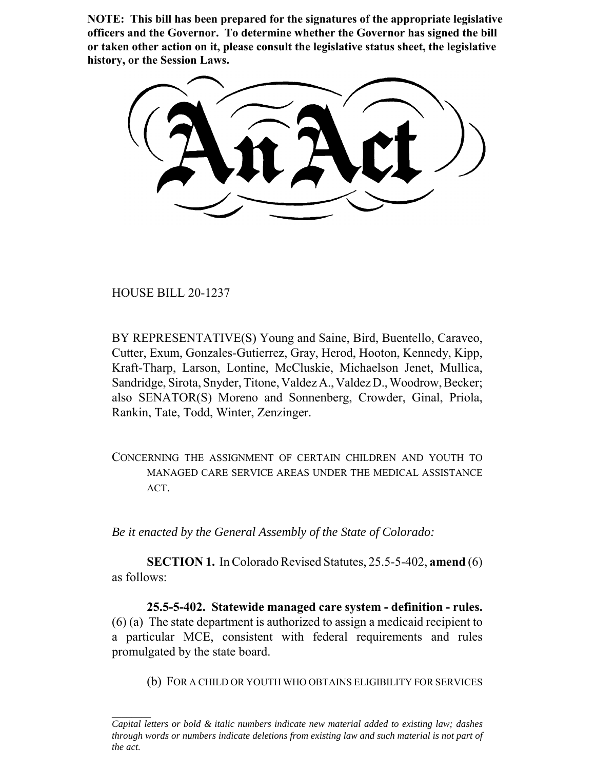**NOTE: This bill has been prepared for the signatures of the appropriate legislative officers and the Governor. To determine whether the Governor has signed the bill or taken other action on it, please consult the legislative status sheet, the legislative history, or the Session Laws.**

HOUSE BILL 20-1237

BY REPRESENTATIVE(S) Young and Saine, Bird, Buentello, Caraveo, Cutter, Exum, Gonzales-Gutierrez, Gray, Herod, Hooton, Kennedy, Kipp, Kraft-Tharp, Larson, Lontine, McCluskie, Michaelson Jenet, Mullica, Sandridge, Sirota, Snyder, Titone, Valdez A., Valdez D., Woodrow, Becker; also SENATOR(S) Moreno and Sonnenberg, Crowder, Ginal, Priola, Rankin, Tate, Todd, Winter, Zenzinger.

CONCERNING THE ASSIGNMENT OF CERTAIN CHILDREN AND YOUTH TO MANAGED CARE SERVICE AREAS UNDER THE MEDICAL ASSISTANCE ACT.

*Be it enacted by the General Assembly of the State of Colorado:*

**SECTION 1.** In Colorado Revised Statutes, 25.5-5-402, **amend** (6) as follows:

**25.5-5-402. Statewide managed care system - definition - rules.** (6) (a) The state department is authorized to assign a medicaid recipient to a particular MCE, consistent with federal requirements and rules promulgated by the state board.

(b) FOR A CHILD OR YOUTH WHO OBTAINS ELIGIBILITY FOR SERVICES

*Capital letters or bold & italic numbers indicate new material added to existing law; dashes through words or numbers indicate deletions from existing law and such material is not part of the act.*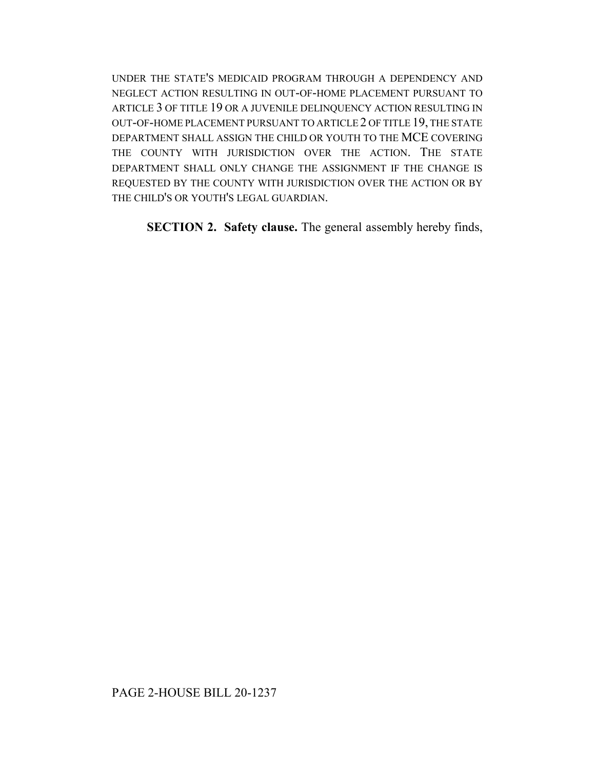UNDER THE STATE'S MEDICAID PROGRAM THROUGH A DEPENDENCY AND NEGLECT ACTION RESULTING IN OUT-OF-HOME PLACEMENT PURSUANT TO ARTICLE 3 OF TITLE 19 OR A JUVENILE DELINQUENCY ACTION RESULTING IN OUT-OF-HOME PLACEMENT PURSUANT TO ARTICLE 2 OF TITLE 19, THE STATE DEPARTMENT SHALL ASSIGN THE CHILD OR YOUTH TO THE MCE COVERING THE COUNTY WITH JURISDICTION OVER THE ACTION. THE STATE DEPARTMENT SHALL ONLY CHANGE THE ASSIGNMENT IF THE CHANGE IS REQUESTED BY THE COUNTY WITH JURISDICTION OVER THE ACTION OR BY THE CHILD'S OR YOUTH'S LEGAL GUARDIAN.

**SECTION 2. Safety clause.** The general assembly hereby finds,